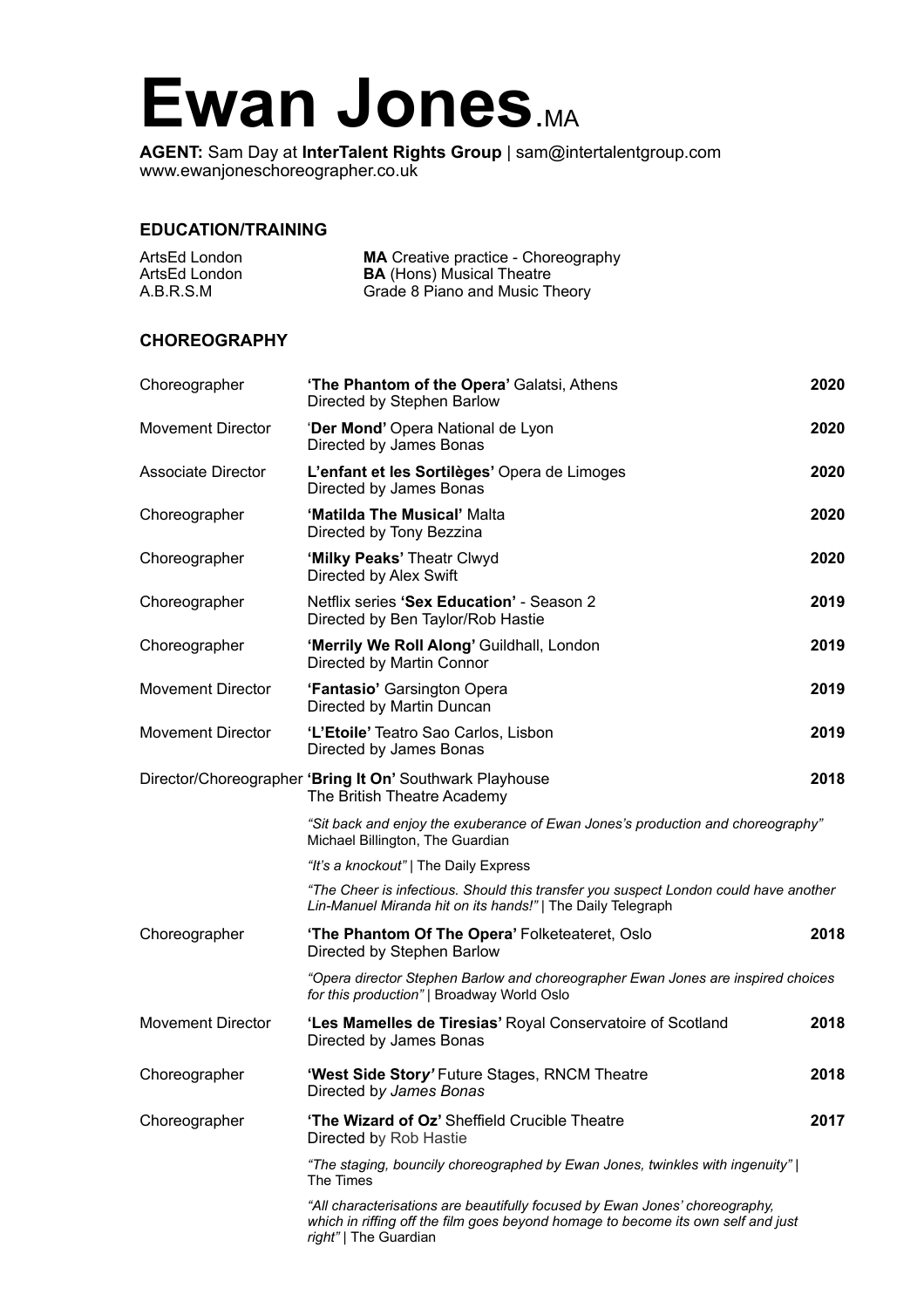## Ewan Jones.MA

**AGENT:** Sam Day at **InterTalent Rights Group** | sam@intertalentgroup.com www.ewanjoneschoreographer.co.uk

## **EDUCATION/TRAINING**

| ArtsEd London | <b>MA</b> Creative practice - Choreography |
|---------------|--------------------------------------------|
| ArtsEd London | <b>BA</b> (Hons) Musical Theatre           |
| A.B.R.S.M     | Grade 8 Piano and Music Theory             |

## **CHOREOGRAPHY**

| Choreographer             | 'The Phantom of the Opera' Galatsi, Athens<br>Directed by Stephen Barlow                                                                                                                 | 2020 |
|---------------------------|------------------------------------------------------------------------------------------------------------------------------------------------------------------------------------------|------|
| <b>Movement Director</b>  | 'Der Mond' Opera National de Lyon<br>Directed by James Bonas                                                                                                                             | 2020 |
| <b>Associate Director</b> | L'enfant et les Sortilèges' Opera de Limoges<br>Directed by James Bonas                                                                                                                  | 2020 |
| Choreographer             | 'Matilda The Musical' Malta<br>Directed by Tony Bezzina                                                                                                                                  | 2020 |
| Choreographer             | 'Milky Peaks' Theatr Clwyd<br>Directed by Alex Swift                                                                                                                                     | 2020 |
| Choreographer             | Netflix series 'Sex Education' - Season 2<br>Directed by Ben Taylor/Rob Hastie                                                                                                           | 2019 |
| Choreographer             | 'Merrily We Roll Along' Guildhall, London<br>Directed by Martin Connor                                                                                                                   | 2019 |
| <b>Movement Director</b>  | 'Fantasio' Garsington Opera<br>Directed by Martin Duncan                                                                                                                                 | 2019 |
| <b>Movement Director</b>  | 'L'Etoile' Teatro Sao Carlos, Lisbon<br>Directed by James Bonas                                                                                                                          | 2019 |
|                           | Director/Choreographer 'Bring It On' Southwark Playhouse<br>The British Theatre Academy                                                                                                  | 2018 |
|                           | "Sit back and enjoy the exuberance of Ewan Jones's production and choreography"<br>Michael Billington, The Guardian                                                                      |      |
|                           | "It's a knockout"   The Daily Express                                                                                                                                                    |      |
|                           | "The Cheer is infectious. Should this transfer you suspect London could have another<br>Lin-Manuel Miranda hit on its hands!"   The Daily Telegraph                                      |      |
| Choreographer             | <b>The Phantom Of The Opera' Folketeateret, Oslo</b><br>Directed by Stephen Barlow                                                                                                       | 2018 |
|                           | "Opera director Stephen Barlow and choreographer Ewan Jones are inspired choices<br>for this production"   Broadway World Oslo                                                           |      |
| <b>Movement Director</b>  | 'Les Mamelles de Tiresias' Royal Conservatoire of Scotland<br>Directed by James Bonas                                                                                                    | 2018 |
| Choreographer             | 'West Side Story' Future Stages, RNCM Theatre<br>Directed by James Bonas                                                                                                                 | 2018 |
| Choreographer             | 'The Wizard of Oz' Sheffield Crucible Theatre<br>Directed by Rob Hastie                                                                                                                  | 2017 |
|                           | "The staging, bouncily choreographed by Ewan Jones, twinkles with ingenuity"  <br>The Times                                                                                              |      |
|                           | "All characterisations are beautifully focused by Ewan Jones' choreography,<br>which in riffing off the film goes beyond homage to become its own self and just<br>right"   The Guardian |      |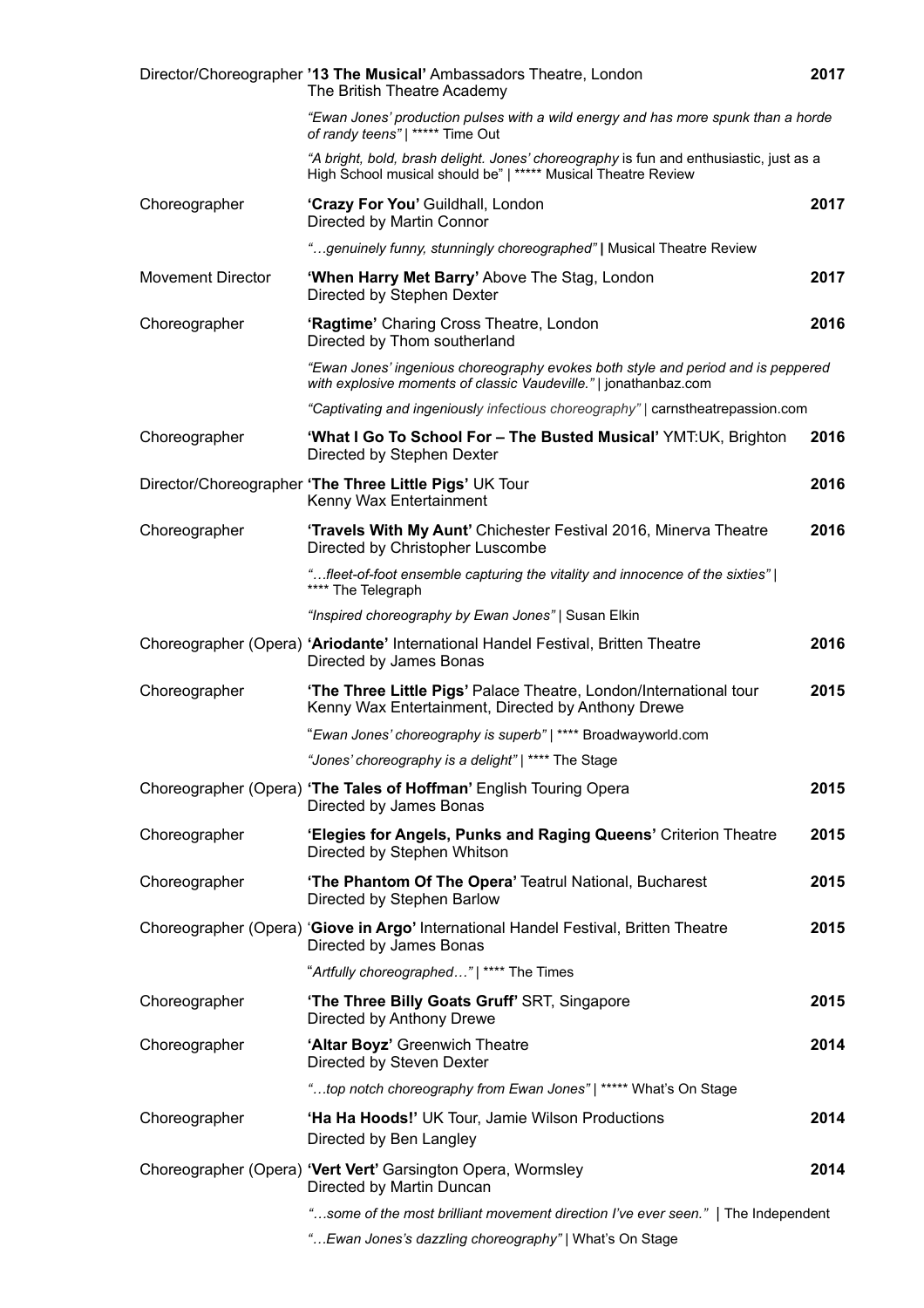|                          | Director/Choreographer '13 The Musical' Ambassadors Theatre, London<br>The British Theatre Academy                                                      | 2017 |
|--------------------------|---------------------------------------------------------------------------------------------------------------------------------------------------------|------|
|                          | "Ewan Jones' production pulses with a wild energy and has more spunk than a horde<br>of randy teens"   ***** Time Out                                   |      |
|                          | "A bright, bold, brash delight. Jones' choreography is fun and enthusiastic, just as a<br>High School musical should be"   ***** Musical Theatre Review |      |
| Choreographer            | 'Crazy For You' Guildhall, London<br>Directed by Martin Connor                                                                                          | 2017 |
|                          | "genuinely funny, stunningly choreographed"   Musical Theatre Review                                                                                    |      |
| <b>Movement Director</b> | 'When Harry Met Barry' Above The Stag, London<br>Directed by Stephen Dexter                                                                             | 2017 |
| Choreographer            | 'Ragtime' Charing Cross Theatre, London<br>Directed by Thom southerland                                                                                 | 2016 |
|                          | "Ewan Jones' ingenious choreography evokes both style and period and is peppered<br>with explosive moments of classic Vaudeville."   jonathanbaz.com    |      |
|                          | "Captivating and ingeniously infectious choreography"   carnstheatrepassion.com                                                                         |      |
| Choreographer            | 'What I Go To School For - The Busted Musical' YMT:UK, Brighton<br>Directed by Stephen Dexter                                                           | 2016 |
|                          | Director/Choreographer 'The Three Little Pigs' UK Tour<br>Kenny Wax Entertainment                                                                       | 2016 |
| Choreographer            | 'Travels With My Aunt' Chichester Festival 2016, Minerva Theatre<br>Directed by Christopher Luscombe                                                    | 2016 |
|                          | "fleet-of-foot ensemble capturing the vitality and innocence of the sixties"  <br>**** The Telegraph                                                    |      |
|                          | "Inspired choreography by Ewan Jones"   Susan Elkin                                                                                                     |      |
|                          | Choreographer (Opera) 'Ariodante' International Handel Festival, Britten Theatre<br>Directed by James Bonas                                             | 2016 |
| Choreographer            | 'The Three Little Pigs' Palace Theatre, London/International tour<br>Kenny Wax Entertainment, Directed by Anthony Drewe                                 | 2015 |
|                          | "Ewan Jones' choreography is superb"   **** Broadwayworld.com                                                                                           |      |
|                          | "Jones' choreography is a delight"   **** The Stage                                                                                                     |      |
|                          | Choreographer (Opera) 'The Tales of Hoffman' English Touring Opera<br>Directed by James Bonas                                                           | 2015 |
| Choreographer            | 'Elegies for Angels, Punks and Raging Queens' Criterion Theatre<br>Directed by Stephen Whitson                                                          | 2015 |
| Choreographer            | 'The Phantom Of The Opera' Teatrul National, Bucharest<br>Directed by Stephen Barlow                                                                    | 2015 |
|                          | Choreographer (Opera) 'Giove in Argo' International Handel Festival, Britten Theatre<br>Directed by James Bonas                                         | 2015 |
|                          | "Artfully choreographed"   **** The Times                                                                                                               |      |
| Choreographer            | 'The Three Billy Goats Gruff' SRT, Singapore<br>Directed by Anthony Drewe                                                                               | 2015 |
| Choreographer            | 'Altar Boyz' Greenwich Theatre<br>Directed by Steven Dexter                                                                                             | 2014 |
|                          | "top notch choreography from Ewan Jones"   ***** What's On Stage                                                                                        |      |
| Choreographer            | 'Ha Ha Hoods!' UK Tour, Jamie Wilson Productions<br>Directed by Ben Langley                                                                             | 2014 |
|                          | Choreographer (Opera) 'Vert Vert' Garsington Opera, Wormsley<br>Directed by Martin Duncan                                                               | 2014 |
|                          | "some of the most brilliant movement direction I've ever seen."   The Independent                                                                       |      |
|                          | " Ewan Jones's dazzling choreography"   What's On Stage                                                                                                 |      |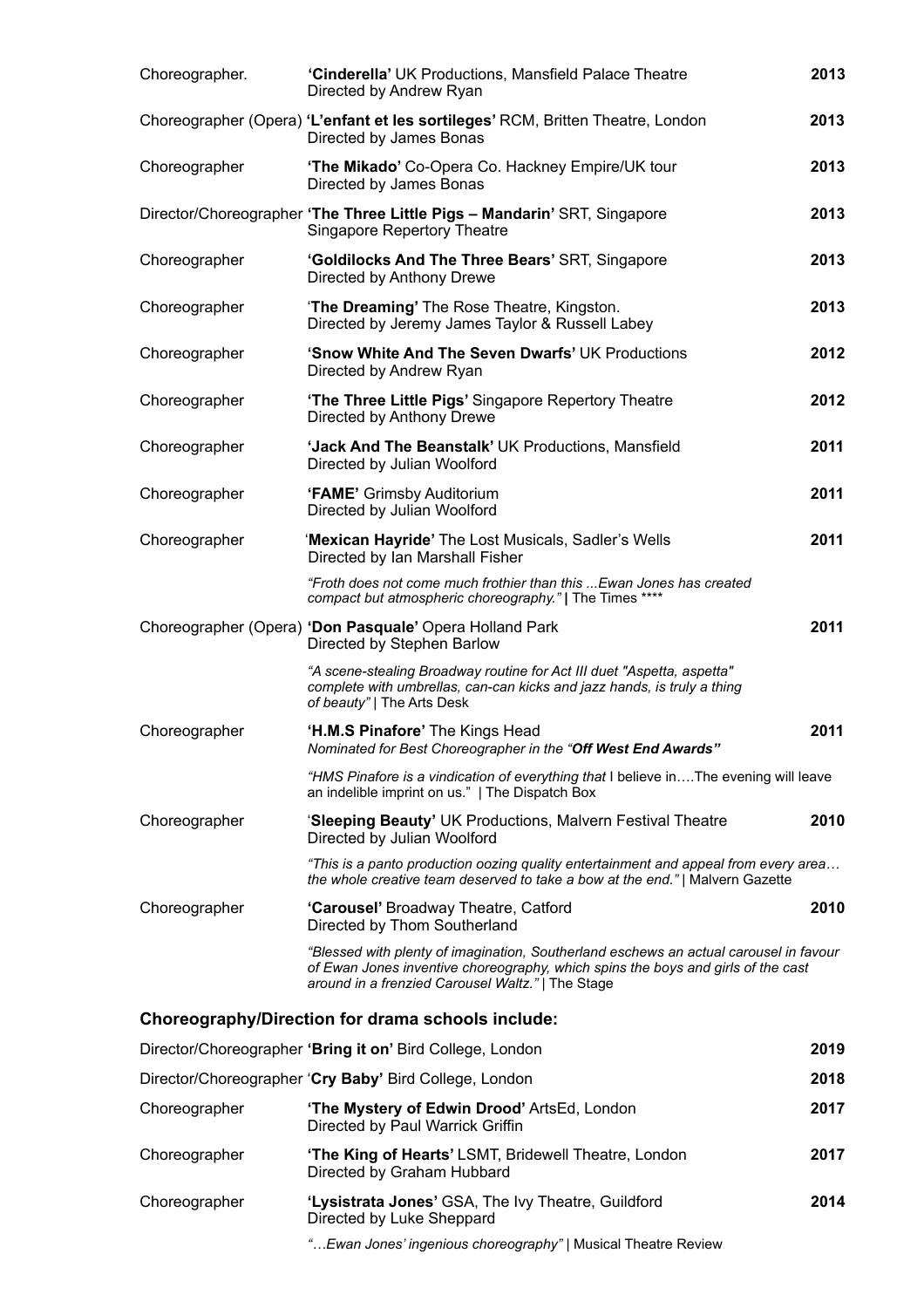| Choreographer. | 'Cinderella' UK Productions, Mansfield Palace Theatre<br>Directed by Andrew Ryan                                                                                                                                               | 2013 |
|----------------|--------------------------------------------------------------------------------------------------------------------------------------------------------------------------------------------------------------------------------|------|
|                | Choreographer (Opera) 'L'enfant et les sortileges' RCM, Britten Theatre, London<br>Directed by James Bonas                                                                                                                     | 2013 |
| Choreographer  | 'The Mikado' Co-Opera Co. Hackney Empire/UK tour<br>Directed by James Bonas                                                                                                                                                    | 2013 |
|                | Director/Choreographer 'The Three Little Pigs - Mandarin' SRT, Singapore<br>Singapore Repertory Theatre                                                                                                                        | 2013 |
| Choreographer  | 'Goldilocks And The Three Bears' SRT, Singapore<br>Directed by Anthony Drewe                                                                                                                                                   | 2013 |
| Choreographer  | 'The Dreaming' The Rose Theatre, Kingston.<br>Directed by Jeremy James Taylor & Russell Labey                                                                                                                                  | 2013 |
| Choreographer  | 'Snow White And The Seven Dwarfs' UK Productions<br>Directed by Andrew Ryan                                                                                                                                                    | 2012 |
| Choreographer  | 'The Three Little Pigs' Singapore Repertory Theatre<br>Directed by Anthony Drewe                                                                                                                                               | 2012 |
| Choreographer  | 'Jack And The Beanstalk' UK Productions, Mansfield<br>Directed by Julian Woolford                                                                                                                                              | 2011 |
| Choreographer  | 'FAME' Grimsby Auditorium<br>Directed by Julian Woolford                                                                                                                                                                       | 2011 |
| Choreographer  | 'Mexican Hayride' The Lost Musicals, Sadler's Wells<br>Directed by Ian Marshall Fisher                                                                                                                                         | 2011 |
|                | "Froth does not come much frothier than this  Ewan Jones has created<br>compact but atmospheric choreography."   The Times ****                                                                                                |      |
|                | Choreographer (Opera) 'Don Pasquale' Opera Holland Park<br>Directed by Stephen Barlow                                                                                                                                          | 2011 |
|                | "A scene-stealing Broadway routine for Act III duet "Aspetta, aspetta"<br>complete with umbrellas, can-can kicks and jazz hands, is truly a thing<br>of beauty"   The Arts Desk                                                |      |
| Choreographer  | 'H.M.S Pinafore' The Kings Head<br>Nominated for Best Choreographer in the "Off West End Awards"                                                                                                                               | 2011 |
|                | "HMS Pinafore is a vindication of everything that I believe inThe evening will leave<br>an indelible imprint on us."   The Dispatch Box                                                                                        |      |
| Choreographer  | 'Sleeping Beauty' UK Productions, Malvern Festival Theatre<br>Directed by Julian Woolford                                                                                                                                      | 2010 |
|                | "This is a panto production oozing quality entertainment and appeal from every area<br>the whole creative team deserved to take a bow at the end."   Malvern Gazette                                                           |      |
| Choreographer  | 'Carousel' Broadway Theatre, Catford<br>Directed by Thom Southerland                                                                                                                                                           | 2010 |
|                | "Blessed with plenty of imagination, Southerland eschews an actual carousel in favour<br>of Ewan Jones inventive choreography, which spins the boys and girls of the cast<br>around in a frenzied Carousel Waltz."   The Stage |      |
|                | Choreography/Direction for drama schools include:                                                                                                                                                                              |      |
|                | Director/Choreographer 'Bring it on' Bird College, London                                                                                                                                                                      | 2019 |
|                | Director/Choreographer 'Cry Baby' Bird College, London                                                                                                                                                                         | 2018 |
| Choreographer  | 'The Mystery of Edwin Drood' ArtsEd, London<br>Directed by Paul Warrick Griffin                                                                                                                                                | 2017 |
| Choreographer  | 'The King of Hearts' LSMT, Bridewell Theatre, London<br>Directed by Graham Hubbard                                                                                                                                             | 2017 |
| Choreographer  | 'Lysistrata Jones' GSA, The Ivy Theatre, Guildford<br>Directed by Luke Sheppard                                                                                                                                                | 2014 |
|                | " Ewan Jones' ingenious choreography"   Musical Theatre Review                                                                                                                                                                 |      |